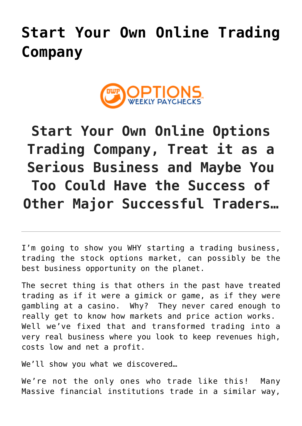**[Start Your Own Online Trading](https://optionsweeklypaychecks.com/start-your-own-online-trading-company/) [Company](https://optionsweeklypaychecks.com/start-your-own-online-trading-company/)**



## **Start Your Own Online Options Trading Company, Treat it as a Serious Business and Maybe You Too Could Have the Success of Other Major Successful Traders…**

I'm going to show you WHY starting a trading business, trading the stock options market, can possibly be the best business opportunity on the planet.

The secret thing is that others in the past have treated trading as if it were a gimick or game, as if they were gambling at a casino. Why? They never cared enough to really get to know how markets and price action works. Well we've fixed that and transformed trading into a very real business where you look to keep revenues high, costs low and net a profit.

We'll show you what we discovered…

We're not the only ones who trade like this! Many Massive financial institutions trade in a similar way,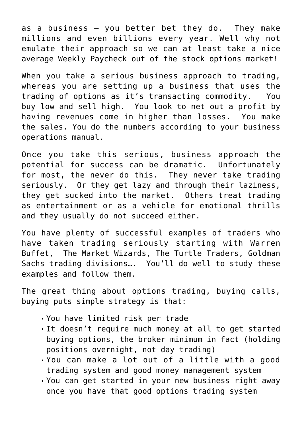as a business  $-$  you better bet they do. They make millions and even billions every year. Well why not emulate their approach so we can at least take a nice average Weekly Paycheck out of the stock options market!

When you take a serious business approach to trading, whereas you are setting up a business that uses the trading of options as it's transacting commodity. You buy low and sell high. You look to net out a profit by having revenues come in higher than losses. You make the sales. You do the numbers according to your business operations manual.

Once you take this serious, business approach the potential for success can be dramatic. Unfortunately for most, the never do this. They never take trading seriously. Or they get lazy and through their laziness, they get sucked into the market. Others treat trading as entertainment or as a vehicle for emotional thrills and they usually do not succeed either.

You have plenty of successful examples of traders who have taken trading seriously starting with Warren Buffet, The Market Wizards, The Turtle Traders, Goldman Sachs trading divisions…. You'll do well to study these examples and follow them.

The great thing about options trading, buying calls, buying puts simple strategy is that:

- You have limited risk per trade
- It doesn't require much money at all to get started buying options, the broker minimum in fact (holding positions overnight, not day trading)
- You can make a lot out of a little with a good trading system and good money management system
- You can get started in your new business right away once you have that good options trading system